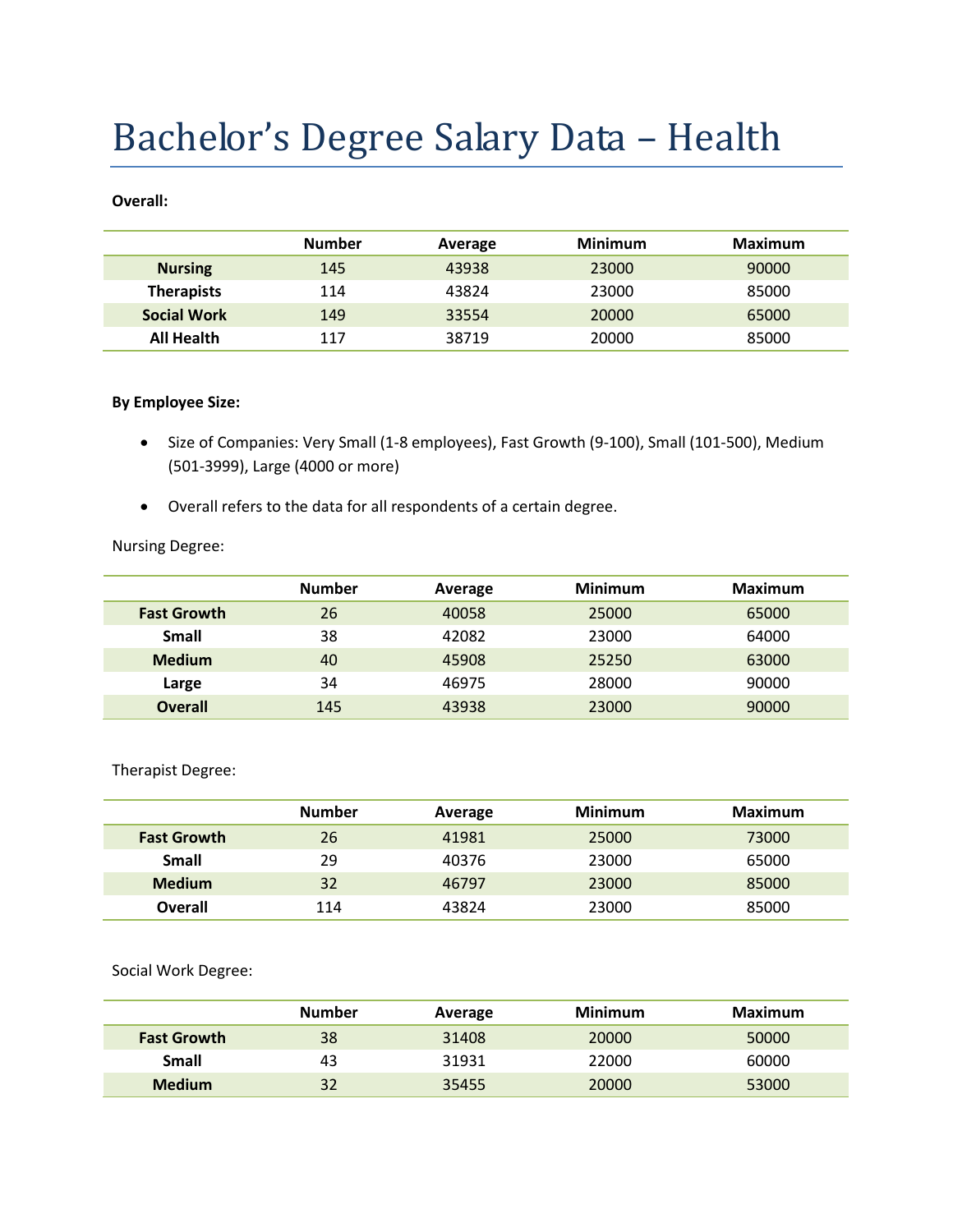# Bachelor's Degree Salary Data – Health

### **Overall:**

|                    | <b>Number</b> | Average | <b>Minimum</b> | Maximum |
|--------------------|---------------|---------|----------------|---------|
| <b>Nursing</b>     | 145           | 43938   | 23000          | 90000   |
| <b>Therapists</b>  | 114           | 43824   | 23000          | 85000   |
| <b>Social Work</b> | 149           | 33554   | 20000          | 65000   |
| <b>All Health</b>  | 117           | 38719   | 20000          | 85000   |

#### **By Employee Size:**

- Size of Companies: Very Small (1-8 employees), Fast Growth (9-100), Small (101-500), Medium (501-3999), Large (4000 or more)
- Overall refers to the data for all respondents of a certain degree.

## Nursing Degree:

|                    | <b>Number</b> | Average | <b>Minimum</b> | <b>Maximum</b> |
|--------------------|---------------|---------|----------------|----------------|
| <b>Fast Growth</b> | 26            | 40058   | 25000          | 65000          |
| <b>Small</b>       | 38            | 42082   | 23000          | 64000          |
| <b>Medium</b>      | 40            | 45908   | 25250          | 63000          |
| Large              | 34            | 46975   | 28000          | 90000          |
| <b>Overall</b>     | 145           | 43938   | 23000          | 90000          |

Therapist Degree:

|                    | <b>Number</b> | Average | <b>Minimum</b> | <b>Maximum</b> |
|--------------------|---------------|---------|----------------|----------------|
| <b>Fast Growth</b> | 26            | 41981   | 25000          | 73000          |
| Small              | 29            | 40376   | 23000          | 65000          |
| <b>Medium</b>      | 32            | 46797   | 23000          | 85000          |
| Overall            | 114           | 43824   | 23000          | 85000          |

Social Work Degree:

|                    | <b>Number</b> | Average | <b>Minimum</b> | Maximum |
|--------------------|---------------|---------|----------------|---------|
| <b>Fast Growth</b> | 38            | 31408   | 20000          | 50000   |
| <b>Small</b>       | 43            | 31931   | 22000          | 60000   |
| <b>Medium</b>      | 32            | 35455   | 20000          | 53000   |